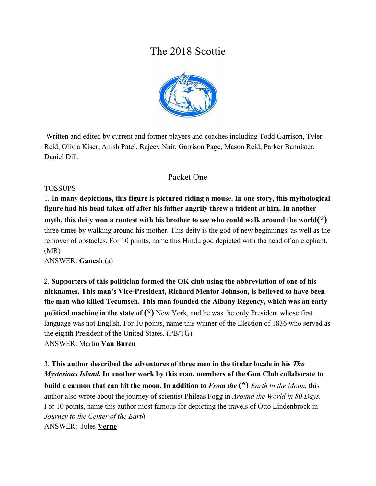# The 2018 Scottie



 Written and edited by current and former players and coaches including Todd Garrison, Tyler Reid, Olivia Kiser, Anish Patel, Rajeev Nair, Garrison Page, Mason Reid, Parker Bannister, Daniel Dill.

# Packet One

#### TOSSUPS

1. **In many depictions, this figure is pictured riding a mouse. In one story, this mythological figure had his head taken off after his father angrily threw a trident at him. In another myth, this deity won a contest with his brother to see who could walk around the world(\*)** three times by walking around his mother. This deity is the god of new beginnings, as well as the remover of obstacles. For 10 points, name this Hindu god depicted with the head of an elephant. (MR)

ANSWER: **Ganesh (**a)

2. **Supporters of this politician formed the OK club using the abbreviation of one of his nicknames. This man's Vice-President, Richard Mentor Johnson, is believed to have been the man who killed Tecumseh. This man founded the Albany Regency, which was an early political machine in the state of**  $(*)$  **New York, and he was the only President whose first** language was not English. For 10 points, name this winner of the Election of 1836 who served as the eighth President of the United States. (PB/TG) ANSWER: Martin **Van Buren**

3. **This author described the adventures of three men in the titular locale in his** *The Mysterious Island.* **In another work by this man, members of the Gun Club collaborate to build a cannon that can hit the moon. In addition to** *From the* **(\*)** *Earth to the Moon,* this author also wrote about the journey of scientist Phileas Fogg in *Around the World in 80 Days.* For 10 points, name this author most famous for depicting the travels of Otto Lindenbrock in *Journey to the Center of the Earth.* ANSWER: Jules **Verne**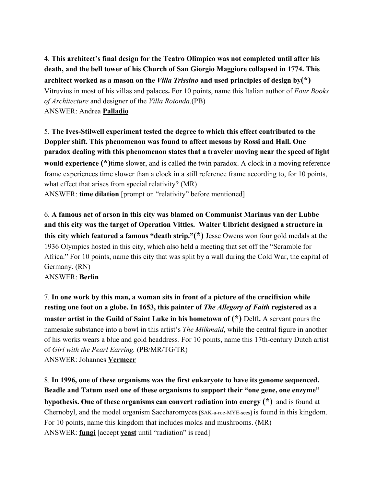4. **This architect's final design for the Teatro Olimpico was not completed until after his death, and the bell tower of his Church of San Giorgio Maggiore collapsed in 1774. This architect worked as a mason on the** *Villa Trissino* **and used principles of design by(\*)** Vitruvius in most of his villas and palaces**.** For 10 points, name this Italian author of *Four Books of Architecture* and designer of the *Villa Rotonda*.(PB) ANSWER: Andrea **Palladio**

5. **The Ives-Stilwell experiment tested the degree to which this effect contributed to the Doppler shift. This phenomenon was found to affect mesons by Rossi and Hall. One paradox dealing with this phenomenon states that a traveler moving near the speed of light would experience (\*)**time slower, and is called the twin paradox. A clock in a moving reference frame experiences time slower than a clock in a still reference frame according to, for 10 points, what effect that arises from special relativity? (MR) ANSWER: **time dilation** [prompt on "relativity" before mentioned]

6. **A famous act of arson in this city was blamed on Communist Marinus van der Lubbe and this city was the target of Operation Vittles. Walter Ulbricht designed a structure in this city which featured a famous "death strip."(\*)** Jesse Owens won four gold medals at the 1936 Olympics hosted in this city, which also held a meeting that set off the "Scramble for Africa." For 10 points, name this city that was split by a wall during the Cold War, the capital of Germany. (RN) ANSWER: **Berlin**

7. **In one work by this man, a woman sits in front of a picture of the crucifixion while resting one foot on a globe. In 1653, this painter of** *The Allegory of Faith* **registered as a master artist in the Guild of Saint Luke in his hometown of**  $(*)$  **Delft. A servant pours the** namesake substance into a bowl in this artist's *The Milkmaid*, while the central figure in another of his works wears a blue and gold headdress*.* For 10 points, name this 17th-century Dutch artist of *Girl with the Pearl Earring.* (PB/MR/TG/TR) ANSWER: Johannes **Vermeer**

8. **In 1996, one of these organisms was the first eukaryote to have its genome sequenced. Beadle and Tatum used one of these organisms to support their "one gene, one enzyme" hypothesis. One of these organisms can convert radiation into energy (\*)** and is found at Chernobyl, and the model organism Saccharomyces [SAK-a-roe-MYE-sees] is found in this kingdom. For 10 points, name this kingdom that includes molds and mushrooms. (MR) ANSWER: **fungi** [accept **yeast** until "radiation" is read]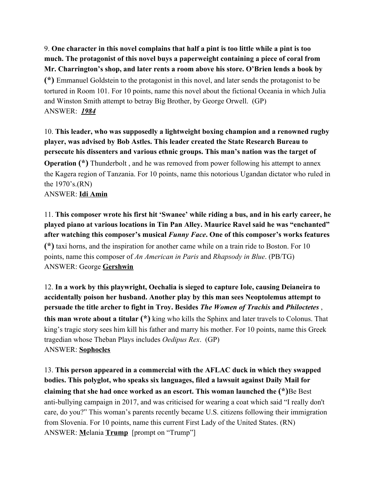9. **One character in this novel complains that half a pint is too little while a pint is too much. The protagonist of this novel buys a paperweight containing a piece of coral from Mr. Charrington's shop, and later rents a room above his store. O'Brien lends a book by (\*)** Emmanuel Goldstein to the protagonist in this novel, and later sends the protagonist to be tortured in Room 101. For 10 points, name this novel about the fictional Oceania in which Julia and Winston Smith attempt to betray Big Brother, by George Orwell. (GP) ANSWER: *1984*

10. **This leader, who was supposedly a lightweight boxing champion and a renowned rugby player, was advised by Bob Astles. This leader created the State Research Bureau to persecute his dissenters and various ethnic groups. This man's nation was the target of Operation (\*)** Thunderbolt , and he was removed from power following his attempt to annex the Kagera region of Tanzania. For 10 points, name this notorious Ugandan dictator who ruled in the 1970's.(RN) ANSWER: **Idi Amin**

11. **This composer wrote his first hit 'Swanee' while riding a bus, and in his early career, he played piano at various locations in Tin Pan Alley. Maurice Ravel said he was "enchanted" after watching this composer's musical** *Funny Face***. One of this composer's works features (\*)** taxi horns, and the inspiration for another came while on a train ride to Boston. For 10 points, name this composer of *An American in Paris* and *Rhapsody in Blue*. (PB/TG) ANSWER: George **Gershwin**

12. **In a work by this playwright, Oechalia is sieged to capture Iole, causing Deianeira to accidentally poison her husband. Another play by this man sees Neoptolemus attempt to persuade the title archer to fight in Troy. Besides** *The Women of Trachis* **and** *Philoctetes* , **this man wrote about a titular (\*)** king who kills the Sphinx and later travels to Colonus. That king's tragic story sees him kill his father and marry his mother. For 10 points, name this Greek tragedian whose Theban Plays includes *Oedipus Rex*. (GP) ANSWER: **Sophocles**

13. **This person appeared in a commercial with the AFLAC duck in which they swapped bodies. This polyglot, who speaks six languages, filed a lawsuit against Daily Mail for claiming that she had once worked as an escort. This woman launched the (\*)**Be Best anti-bullying campaign in 2017, and was criticised for wearing a coat which said "I really don't care, do you?" This woman's parents recently became U.S. citizens following their immigration from Slovenia. For 10 points, name this current First Lady of the United States. (RN) ANSWER: **M**elania **Trump** [prompt on "Trump"]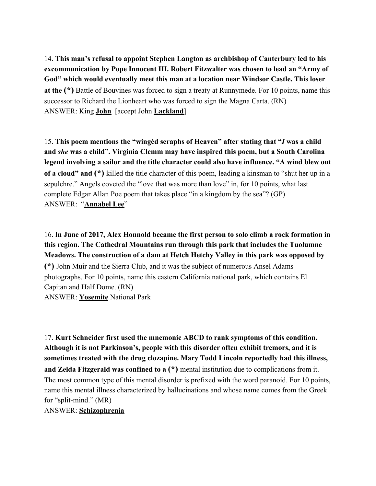14. **This man's refusal to appoint Stephen Langton as archbishop of Canterbury led to his excommunication by Pope Innocent III. Robert Fitzwalter was chosen to lead an "Army of God" which would eventually meet this man at a location near Windsor Castle. This loser at the (\*)** Battle of Bouvines was forced to sign a treaty at Runnymede. For 10 points, name this successor to Richard the Lionheart who was forced to sign the Magna Carta. (RN) ANSWER: King **John** [accept John **Lackland**]

15. **This poem mentions the "wingèd seraphs of Heaven" after stating that "***I* **was a child and** *she* **was a child". Virginia Clemm may have inspired this poem, but a South Carolina legend involving a sailor and the title character could also have influence. "A wind blew out of a cloud" and (\*)** killed the title character of this poem, leading a kinsman to "shut her up in a sepulchre." Angels coveted the "love that was more than love" in, for 10 points, what last complete Edgar Allan Poe poem that takes place "in a kingdom by the sea"? (GP) ANSWER: "**Annabel Lee**"

16. I**n June of 2017, Alex Honnold became the first person to solo climb a rock formation in this region. The Cathedral Mountains run through this park that includes the Tuolumne Meadows. The construction of a dam at Hetch Hetchy Valley in this park was opposed by (\*)** John Muir and the Sierra Club, and it was the subject of numerous Ansel Adams photographs. For 10 points, name this eastern California national park, which contains El Capitan and Half Dome. (RN) ANSWER: **Yosemite** National Park

17. **Kurt Schneider first used the mnemonic ABCD to rank symptoms of this condition. Although it is not Parkinson's, people with this disorder often exhibit tremors, and it is sometimes treated with the drug clozapine. Mary Todd Lincoln reportedly had this illness, and Zelda Fitzgerald was confined to a (\*)** mental institution due to complications from it. The most common type of this mental disorder is prefixed with the word paranoid. For 10 points, name this mental illness characterized by hallucinations and whose name comes from the Greek for "split-mind." (MR) ANSWER: **Schizophrenia**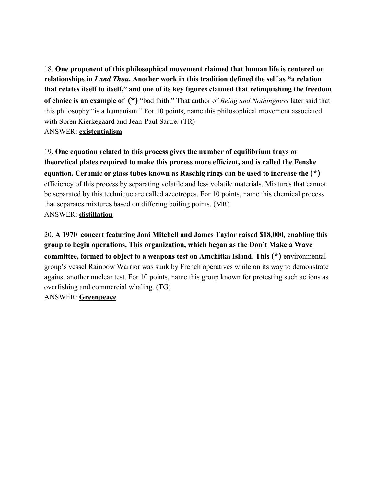18. **One proponent of this philosophical movement claimed that human life is centered on relationships in** *I and Thou***. Another work in this tradition defined the self as "a relation that relates itself to itself," and one of its key figures claimed that relinquishing the freedom of choice is an example of (\*)** "bad faith." That author of *Being and Nothingness* later said that this philosophy "is a humanism." For 10 points, name this philosophical movement associated with Soren Kierkegaard and Jean-Paul Sartre. (TR) ANSWER: **existentialism**

19. **One equation related to this process gives the number of equilibrium trays or theoretical plates required to make this process more efficient, and is called the Fenske equation. Ceramic or glass tubes known as Raschig rings can be used to increase the (\*)** efficiency of this process by separating volatile and less volatile materials. Mixtures that cannot be separated by this technique are called azeotropes. For 10 points, name this chemical process that separates mixtures based on differing boiling points. (MR) ANSWER: **distillation**

20. **A 1970 concert featuring Joni Mitchell and James Taylor raised \$18,000, enabling this group to begin operations. This organization, which began as the Don't Make a Wave committee, formed to object to a weapons test on Amchitka Island. This (\*)** environmental group's vessel Rainbow Warrior was sunk by French operatives while on its way to demonstrate against another nuclear test. For 10 points, name this group known for protesting such actions as overfishing and commercial whaling. (TG) ANSWER: **Greenpeace**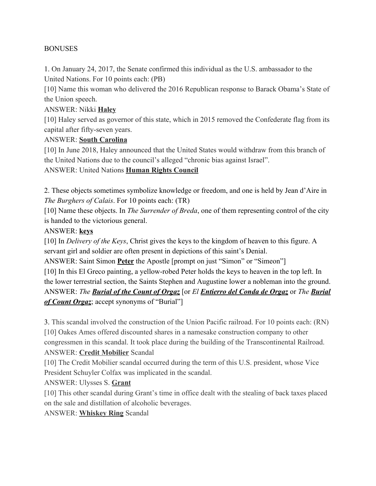#### BONUSES

1. On January 24, 2017, the Senate confirmed this individual as the U.S. ambassador to the United Nations. For 10 points each: (PB)

[10] Name this woman who delivered the 2016 Republican response to Barack Obama's State of the Union speech.

#### ANSWER: Nikki **Haley**

[10] Haley served as governor of this state, which in 2015 removed the Confederate flag from its capital after fifty-seven years.

#### ANSWER: **South Carolina**

[10] In June 2018, Haley announced that the United States would withdraw from this branch of the United Nations due to the council's alleged "chronic bias against Israel".

ANSWER: United Nations **Human Rights Council**

2. These objects sometimes symbolize knowledge or freedom, and one is held by Jean d'Aire in *The Burghers of Calais*. For 10 points each: (TR)

[10] Name these objects. In *The Surrender of Breda*, one of them representing control of the city is handed to the victorious general.

#### ANSWER: **keys**

[10] In *Delivery of the Keys*, Christ gives the keys to the kingdom of heaven to this figure. A servant girl and soldier are often present in depictions of this saint's Denial.

ANSWER: Saint Simon **Peter** the Apostle [prompt on just "Simon" or "Simeon"]

[10] In this El Greco painting, a yellow-robed Peter holds the keys to heaven in the top left. In the lower terrestrial section, the Saints Stephen and Augustine lower a nobleman into the ground. ANSWER: *The Burial of the Count of Orgaz* [or *El Entierro del Conda de Orgaz* or *The Burial of Count Orgaz*; accept synonyms of "Burial"]

3. This scandal involved the construction of the Union Pacific railroad. For 10 points each: (RN) [10] Oakes Ames offered discounted shares in a namesake construction company to other congressmen in this scandal. It took place during the building of the Transcontinental Railroad. ANSWER: **Credit Mobilier** Scandal

[10] The Credit Mobilier scandal occurred during the term of this U.S. president, whose Vice President Schuyler Colfax was implicated in the scandal.

ANSWER: Ulysses S. **Grant**

[10] This other scandal during Grant's time in office dealt with the stealing of back taxes placed on the sale and distillation of alcoholic beverages.

ANSWER: **Whiskey Ring** Scandal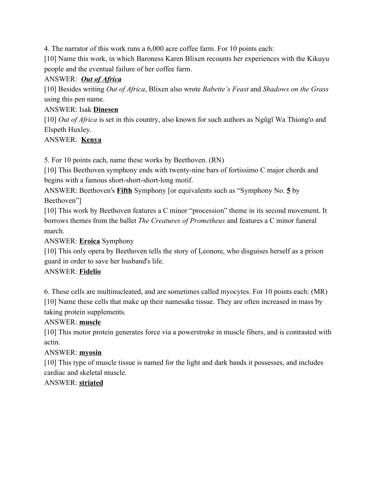4. The narrator of this work runs a 6,000 acre coffee farm. For 10 points each:

[10] Name this work, in which Baroness Karen Blixen recounts her experiences with the Kikuyu people and the eventual failure of her coffee farm.

## ANSWER: *Out of Africa*

[10] Besides writing *Out of Africa*, Blixen also wrote *Babette's Feast* and *Shadows on the Grass* using this pen name.

## ANSWER: Isak **Dinesen**

[10] *Out of Africa* is set in this country, also known for such authors as Ngũgĩ Wa Thiong'o and Elspeth Huxley.

#### ANSWER: **Kenya**

5. For 10 points each, name these works by Beethoven. (RN)

[10] This Beethoven symphony ends with twenty-nine bars of fortissimo C major chords and begins with a famous short-short-short-long motif.

ANSWER: Beethoven's **Fifth** Symphony [or equivalents such as "Symphony No. **5** by Beethoven"]

[10] This work by Beethoven features a C minor "procession" theme in its second movement. It borrows themes from the ballet *The Creatures of Prometheus* and features a C minor funeral march.

ANSWER: **Eroica** Symphony

[10] This only opera by Beethoven tells the story of Leonore, who disguises herself as a prison guard in order to save her husband's life.

# ANSWER: **Fidelio**

6. These cells are multinucleated, and are sometimes called myocytes. For 10 points each: (MR) [10] Name these cells that make up their namesake tissue. They are often increased in mass by taking protein supplements.

# ANSWER: **muscle**

[10] This motor protein generates force via a powerstroke in muscle fibers, and is contrasted with actin.

#### ANSWER: **myosin**

[10] This type of muscle tissue is named for the light and dark bands it possesses, and includes cardiac and skeletal muscle.

# ANSWER: **striated**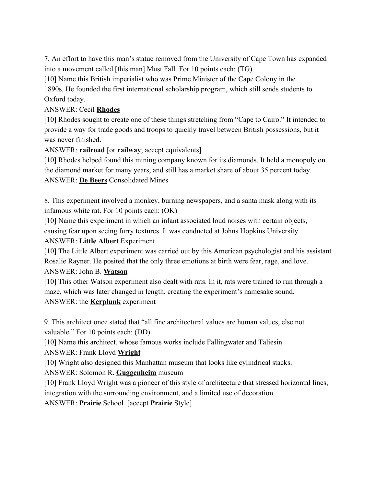7. An effort to have this man's statue removed from the University of Cape Town has expanded into a movement called [this man] Must Fall. For 10 points each: (TG)

[10] Name this British imperialist who was Prime Minister of the Cape Colony in the 1890s. He founded the first international scholarship program, which still sends students to Oxford today.

#### ANSWER: Cecil **Rhodes**

[10] Rhodes sought to create one of these things stretching from "Cape to Cairo." It intended to provide a way for trade goods and troops to quickly travel between British possessions, but it was never finished.

ANSWER: **railroad** [or **railway**; accept equivalents]

[10] Rhodes helped found this mining company known for its diamonds. It held a monopoly on the diamond market for many years, and still has a market share of about 35 percent today. ANSWER: **De Beers** Consolidated Mines

8. This experiment involved a monkey, burning newspapers, and a santa mask along with its infamous white rat. For 10 points each: (OK)

[10] Name this experiment in which an infant associated loud noises with certain objects, causing fear upon seeing furry textures. It was conducted at Johns Hopkins University.

#### ANSWER: **Little Albert** Experiment

[10] The Little Albert experiment was carried out by this American psychologist and his assistant Rosalie Rayner. He posited that the only three emotions at birth were fear, rage, and love. ANSWER: John B. **Watson**

[10] This other Watson experiment also dealt with rats. In it, rats were trained to run through a maze, which was later changed in length, creating the experiment's namesake sound. ANSWER: the **Kerplunk** experiment

9. This architect once stated that "all fine architectural values are human values, else not valuable." For 10 points each: (DD)

[10] Name this architect, whose famous works include Fallingwater and Taliesin.

ANSWER: Frank Lloyd **Wright**

[10] Wright also designed this Manhattan museum that looks like cylindrical stacks.

# ANSWER: Solomon R. **Guggenheim** museum

[10] Frank Lloyd Wright was a pioneer of this style of architecture that stressed horizontal lines, integration with the surrounding environment, and a limited use of decoration.

ANSWER: **Prairie** School [accept **Prairie** Style]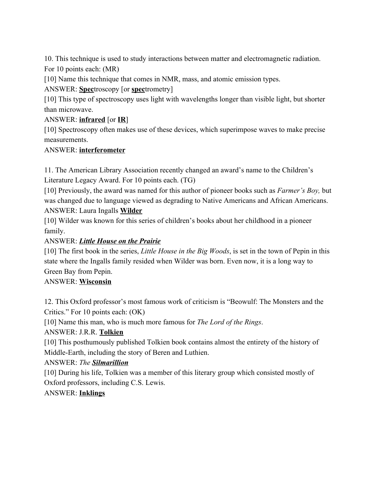10. This technique is used to study interactions between matter and electromagnetic radiation. For 10 points each: (MR)

[10] Name this technique that comes in NMR, mass, and atomic emission types.

ANSWER: **Spec**troscopy [or **spec**trometry]

[10] This type of spectroscopy uses light with wavelengths longer than visible light, but shorter than microwave.

## ANSWER: **infrared** [or **IR**]

[10] Spectroscopy often makes use of these devices, which superimpose waves to make precise measurements.

#### ANSWER: **interferometer**

11. The American Library Association recently changed an award's name to the Children's Literature Legacy Award. For 10 points each. (TG)

[10] Previously, the award was named for this author of pioneer books such as *Farmer's Boy,* but was changed due to language viewed as degrading to Native Americans and African Americans. ANSWER: Laura Ingalls **Wilder**

[10] Wilder was known for this series of children's books about her childhood in a pioneer family.

# ANSWER: *Little House on the Prairie*

[10] The first book in the series, *Little House in the Big Woods*, is set in the town of Pepin in this state where the Ingalls family resided when Wilder was born. Even now, it is a long way to Green Bay from Pepin.

#### ANSWER: **Wisconsin**

12. This Oxford professor's most famous work of criticism is "Beowulf: The Monsters and the Critics." For 10 points each: (OK)

[10] Name this man, who is much more famous for *The Lord of the Rings*.

# ANSWER: J.R.R. **Tolkien**

[10] This posthumously published Tolkien book contains almost the entirety of the history of Middle-Earth, including the story of Beren and Luthien.

# ANSWER: *The Silmarillion*

[10] During his life, Tolkien was a member of this literary group which consisted mostly of Oxford professors, including C.S. Lewis.

# ANSWER: **Inklings**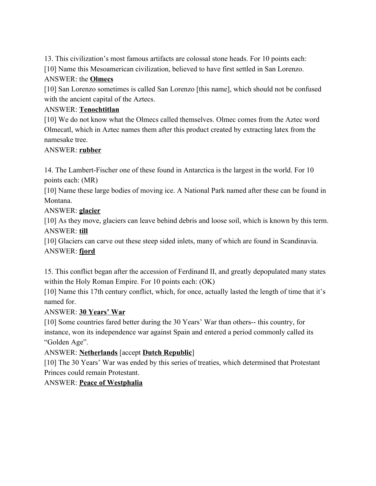13. This civilization's most famous artifacts are colossal stone heads. For 10 points each:

[10] Name this Mesoamerican civilization, believed to have first settled in San Lorenzo.

# ANSWER: the **Olmecs**

[10] San Lorenzo sometimes is called San Lorenzo [this name], which should not be confused with the ancient capital of the Aztecs.

# ANSWER: **Tenochtitlan**

[10] We do not know what the Olmecs called themselves. Olmec comes from the Aztec word Olmecatl, which in Aztec names them after this product created by extracting latex from the namesake tree.

#### ANSWER: **rubber**

14. The Lambert-Fischer one of these found in Antarctica is the largest in the world. For 10 points each: (MR)

[10] Name these large bodies of moving ice. A National Park named after these can be found in Montana.

# ANSWER: **glacier**

[10] As they move, glaciers can leave behind debris and loose soil, which is known by this term. ANSWER: **till**

[10] Glaciers can carve out these steep sided inlets, many of which are found in Scandinavia. ANSWER: **fjord**

15. This conflict began after the accession of Ferdinand II, and greatly depopulated many states within the Holy Roman Empire. For 10 points each: (OK)

[10] Name this 17th century conflict, which, for once, actually lasted the length of time that it's named for.

# ANSWER: **30 Years' War**

[10] Some countries fared better during the 30 Years' War than others-- this country, for instance, won its independence war against Spain and entered a period commonly called its "Golden Age".

ANSWER: **Netherlands** [accept **Dutch Republic**]

[10] The 30 Years' War was ended by this series of treaties, which determined that Protestant Princes could remain Protestant.

# ANSWER: **Peace of Westphalia**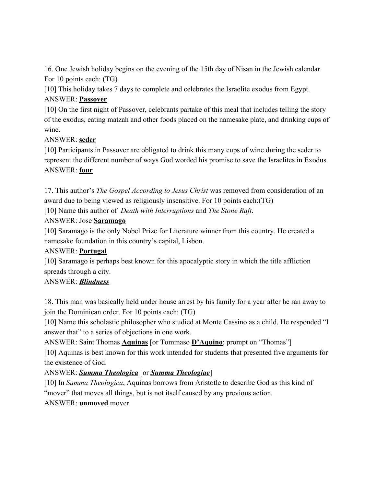16. One Jewish holiday begins on the evening of the 15th day of Nisan in the Jewish calendar. For 10 points each: (TG)

[10] This holiday takes 7 days to complete and celebrates the Israelite exodus from Egypt. ANSWER: **Passover**

[10] On the first night of Passover, celebrants partake of this meal that includes telling the story of the exodus, eating matzah and other foods placed on the namesake plate, and drinking cups of wine

#### ANSWER: **seder**

[10] Participants in Passover are obligated to drink this many cups of wine during the seder to represent the different number of ways God worded his promise to save the Israelites in Exodus. ANSWER: **four**

17. This author's *The Gospel According to Jesus Christ* was removed from consideration of an award due to being viewed as religiously insensitive. For 10 points each:(TG) [10] Name this author of *Death with Interruptions* and *The Stone Raft*.

#### ANSWER: Jose **Saramago**

[10] Saramago is the only Nobel Prize for Literature winner from this country. He created a namesake foundation in this country's capital, Lisbon.

#### ANSWER: **Portugal**

[10] Saramago is perhaps best known for this apocalyptic story in which the title affliction spreads through a city.

#### ANSWER: *Blindness*

18. This man was basically held under house arrest by his family for a year after he ran away to join the Dominican order. For 10 points each: (TG)

[10] Name this scholastic philosopher who studied at Monte Cassino as a child. He responded "I answer that" to a series of objections in one work.

ANSWER: Saint Thomas **Aquinas** [or Tommaso **D'Aquino**; prompt on "Thomas"]

[10] Aquinas is best known for this work intended for students that presented five arguments for the existence of God.

# ANSWER: *Summa Theologica* [or *Summa Theologiae*]

[10] In *Summa Theologica*, Aquinas borrows from Aristotle to describe God as this kind of "mover" that moves all things, but is not itself caused by any previous action.

#### ANSWER: **unmoved** mover